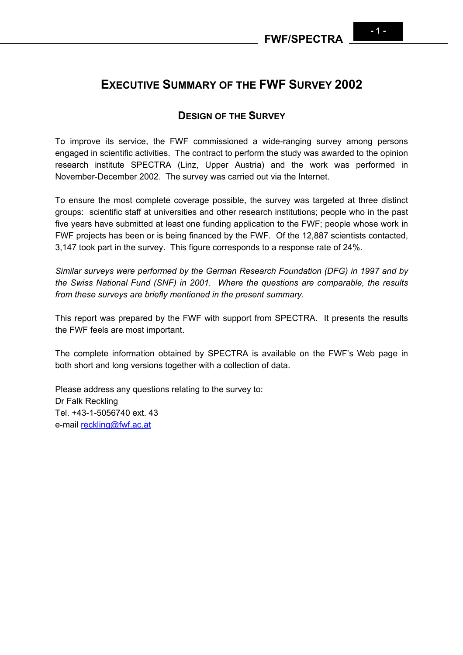# **EXECUTIVE SUMMARY OF THE FWF SURVEY 2002**

# **DESIGN OF THE SURVEY**

To improve its service, the FWF commissioned a wide-ranging survey among persons engaged in scientific activities. The contract to perform the study was awarded to the opinion research institute SPECTRA (Linz, Upper Austria) and the work was performed in November-December 2002. The survey was carried out via the Internet.

To ensure the most complete coverage possible, the survey was targeted at three distinct groups: scientific staff at universities and other research institutions; people who in the past five years have submitted at least one funding application to the FWF; people whose work in FWF projects has been or is being financed by the FWF. Of the 12,887 scientists contacted, 3,147 took part in the survey. This figure corresponds to a response rate of 24%.

*Similar surveys were performed by the German Research Foundation (DFG) in 1997 and by the Swiss National Fund (SNF) in 2001. Where the questions are comparable, the results from these surveys are briefly mentioned in the present summary.* 

This report was prepared by the FWF with support from SPECTRA. It presents the results the FWF feels are most important.

The complete information obtained by SPECTRA is available on the FWF's Web page in both short and long versions together with a collection of data.

Please address any questions relating to the survey to: Dr Falk Reckling Tel. +43-1-5056740 ext. 43 e-mail [reckling@fwf.ac.at](mailto:reckling@fwf.ac.at)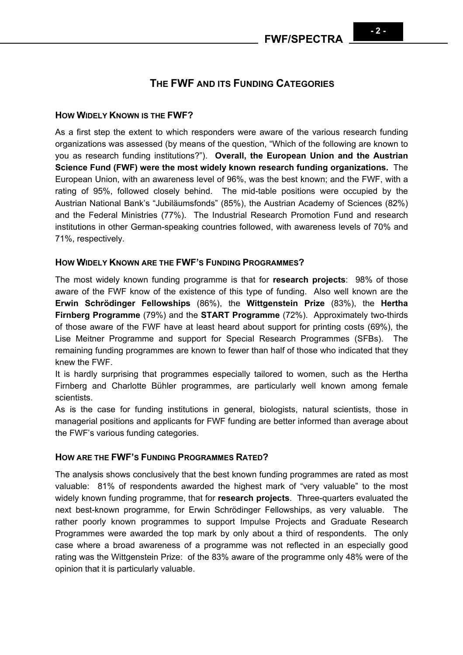# **THE FWF AND ITS FUNDING CATEGORIES**

### **HOW WIDELY KNOWN IS THE FWF?**

As a first step the extent to which responders were aware of the various research funding organizations was assessed (by means of the question, "Which of the following are known to you as research funding institutions?"). **Overall, the European Union and the Austrian Science Fund (FWF) were the most widely known research funding organizations.** The European Union, with an awareness level of 96%, was the best known; and the FWF, with a rating of 95%, followed closely behind. The mid-table positions were occupied by the Austrian National Bank's "Jubiläumsfonds" (85%), the Austrian Academy of Sciences (82%) and the Federal Ministries (77%). The Industrial Research Promotion Fund and research institutions in other German-speaking countries followed, with awareness levels of 70% and 71%, respectively.

### **HOW WIDELY KNOWN ARE THE FWF'S FUNDING PROGRAMMES?**

The most widely known funding programme is that for **research projects**: 98% of those aware of the FWF know of the existence of this type of funding. Also well known are the **Erwin Schrödinger Fellowships** (86%), the **Wittgenstein Prize** (83%), the **Hertha Firnberg Programme** (79%) and the **START Programme** (72%). Approximately two-thirds of those aware of the FWF have at least heard about support for printing costs (69%), the Lise Meitner Programme and support for Special Research Programmes (SFBs). The remaining funding programmes are known to fewer than half of those who indicated that they knew the FWF.

It is hardly surprising that programmes especially tailored to women, such as the Hertha Firnberg and Charlotte Bühler programmes, are particularly well known among female scientists.

As is the case for funding institutions in general, biologists, natural scientists, those in managerial positions and applicants for FWF funding are better informed than average about the FWF's various funding categories.

#### **HOW ARE THE FWF'S FUNDING PROGRAMMES RATED?**

The analysis shows conclusively that the best known funding programmes are rated as most valuable: 81% of respondents awarded the highest mark of "very valuable" to the most widely known funding programme, that for **research projects**. Three-quarters evaluated the next best-known programme, for Erwin Schrödinger Fellowships, as very valuable. The rather poorly known programmes to support Impulse Projects and Graduate Research Programmes were awarded the top mark by only about a third of respondents. The only case where a broad awareness of a programme was not reflected in an especially good rating was the Wittgenstein Prize: of the 83% aware of the programme only 48% were of the opinion that it is particularly valuable.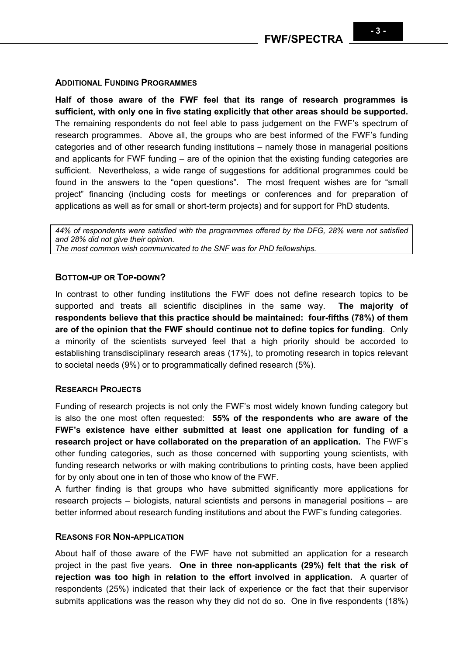#### **ADDITIONAL FUNDING PROGRAMMES**

**Half of those aware of the FWF feel that its range of research programmes is sufficient, with only one in five stating explicitly that other areas should be supported.** The remaining respondents do not feel able to pass judgement on the FWF's spectrum of research programmes. Above all, the groups who are best informed of the FWF's funding categories and of other research funding institutions – namely those in managerial positions and applicants for FWF funding – are of the opinion that the existing funding categories are sufficient. Nevertheless, a wide range of suggestions for additional programmes could be found in the answers to the "open questions". The most frequent wishes are for "small project" financing (including costs for meetings or conferences and for preparation of applications as well as for small or short-term projects) and for support for PhD students.

*44% of respondents were satisfied with the programmes offered by the DFG, 28% were not satisfied and 28% did not give their opinion. The most common wish communicated to the SNF was for PhD fellowships.* 

#### **BOTTOM-UP OR TOP-DOWN?**

In contrast to other funding institutions the FWF does not define research topics to be supported and treats all scientific disciplines in the same way. **The majority of respondents believe that this practice should be maintained: four-fifths (78%) of them are of the opinion that the FWF should continue not to define topics for funding**. Only a minority of the scientists surveyed feel that a high priority should be accorded to establishing transdisciplinary research areas (17%), to promoting research in topics relevant to societal needs (9%) or to programmatically defined research (5%).

# **RESEARCH PROJECTS**

Funding of research projects is not only the FWF's most widely known funding category but is also the one most often requested: **55% of the respondents who are aware of the FWF's existence have either submitted at least one application for funding of a research project or have collaborated on the preparation of an application.** The FWF's other funding categories, such as those concerned with supporting young scientists, with funding research networks or with making contributions to printing costs, have been applied for by only about one in ten of those who know of the FWF.

A further finding is that groups who have submitted significantly more applications for research projects – biologists, natural scientists and persons in managerial positions – are better informed about research funding institutions and about the FWF's funding categories.

#### **REASONS FOR NON-APPLICATION**

About half of those aware of the FWF have not submitted an application for a research project in the past five years. **One in three non-applicants (29%) felt that the risk of rejection was too high in relation to the effort involved in application.** A quarter of respondents (25%) indicated that their lack of experience or the fact that their supervisor submits applications was the reason why they did not do so. One in five respondents (18%)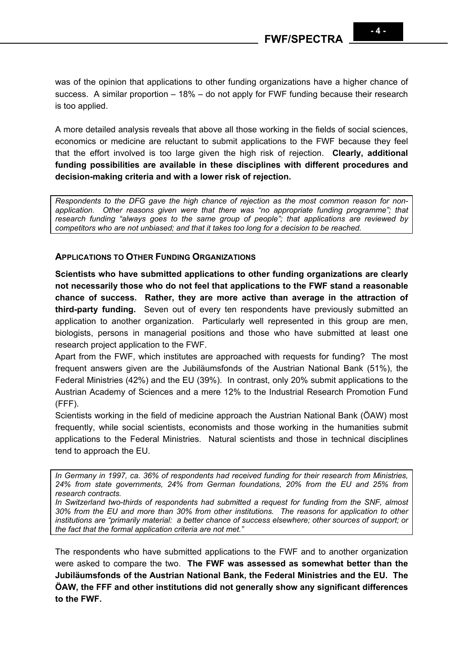was of the opinion that applications to other funding organizations have a higher chance of success. A similar proportion – 18% – do not apply for FWF funding because their research is too applied.

A more detailed analysis reveals that above all those working in the fields of social sciences, economics or medicine are reluctant to submit applications to the FWF because they feel that the effort involved is too large given the high risk of rejection. **Clearly, additional funding possibilities are available in these disciplines with different procedures and decision-making criteria and with a lower risk of rejection.** 

*Respondents to the DFG gave the high chance of rejection as the most common reason for nonapplication. Other reasons given were that there was "no appropriate funding programme"; that research funding "always goes to the same group of people"; that applications are reviewed by competitors who are not unbiased; and that it takes too long for a decision to be reached.*

### **APPLICATIONS TO OTHER FUNDING ORGANIZATIONS**

**Scientists who have submitted applications to other funding organizations are clearly not necessarily those who do not feel that applications to the FWF stand a reasonable chance of success. Rather, they are more active than average in the attraction of third-party funding.** Seven out of every ten respondents have previously submitted an application to another organization. Particularly well represented in this group are men, biologists, persons in managerial positions and those who have submitted at least one research project application to the FWF.

Apart from the FWF, which institutes are approached with requests for funding? The most frequent answers given are the Jubiläumsfonds of the Austrian National Bank (51%), the Federal Ministries (42%) and the EU (39%). In contrast, only 20% submit applications to the Austrian Academy of Sciences and a mere 12% to the Industrial Research Promotion Fund (FFF).

Scientists working in the field of medicine approach the Austrian National Bank (ÖAW) most frequently, while social scientists, economists and those working in the humanities submit applications to the Federal Ministries. Natural scientists and those in technical disciplines tend to approach the EU.

*In Germany in 1997, ca. 36% of respondents had received funding for their research from Ministries, 24% from state governments, 24% from German foundations, 20% from the EU and 25% from research contracts.*

*In Switzerland two-thirds of respondents had submitted a request for funding from the SNF, almost 30% from the EU and more than 30% from other institutions. The reasons for application to other institutions are "primarily material: a better chance of success elsewhere; other sources of support; or the fact that the formal application criteria are not met."*

The respondents who have submitted applications to the FWF and to another organization were asked to compare the two. **The FWF was assessed as somewhat better than the Jubiläumsfonds of the Austrian National Bank, the Federal Ministries and the EU. The ÖAW, the FFF and other institutions did not generally show any significant differences to the FWF.**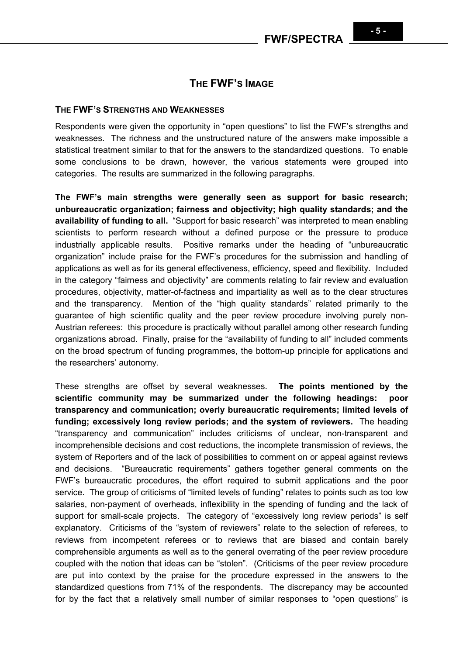# **THE FWF'S IMAGE**

#### **THE FWF'S STRENGTHS AND WEAKNESSES**

Respondents were given the opportunity in "open questions" to list the FWF's strengths and weaknesses. The richness and the unstructured nature of the answers make impossible a statistical treatment similar to that for the answers to the standardized questions. To enable some conclusions to be drawn, however, the various statements were grouped into categories. The results are summarized in the following paragraphs.

**The FWF's main strengths were generally seen as support for basic research; unbureaucratic organization; fairness and objectivity; high quality standards; and the availability of funding to all.** "Support for basic research" was interpreted to mean enabling scientists to perform research without a defined purpose or the pressure to produce industrially applicable results. Positive remarks under the heading of "unbureaucratic organization" include praise for the FWF's procedures for the submission and handling of applications as well as for its general effectiveness, efficiency, speed and flexibility. Included in the category "fairness and objectivity" are comments relating to fair review and evaluation procedures, objectivity, matter-of-factness and impartiality as well as to the clear structures and the transparency. Mention of the "high quality standards" related primarily to the guarantee of high scientific quality and the peer review procedure involving purely non-Austrian referees: this procedure is practically without parallel among other research funding organizations abroad. Finally, praise for the "availability of funding to all" included comments on the broad spectrum of funding programmes, the bottom-up principle for applications and the researchers' autonomy.

These strengths are offset by several weaknesses. **The points mentioned by the scientific community may be summarized under the following headings: poor transparency and communication; overly bureaucratic requirements; limited levels of funding; excessively long review periods; and the system of reviewers.** The heading "transparency and communication" includes criticisms of unclear, non-transparent and incomprehensible decisions and cost reductions, the incomplete transmission of reviews, the system of Reporters and of the lack of possibilities to comment on or appeal against reviews and decisions. "Bureaucratic requirements" gathers together general comments on the FWF's bureaucratic procedures, the effort required to submit applications and the poor service. The group of criticisms of "limited levels of funding" relates to points such as too low salaries, non-payment of overheads, inflexibility in the spending of funding and the lack of support for small-scale projects. The category of "excessively long review periods" is self explanatory. Criticisms of the "system of reviewers" relate to the selection of referees, to reviews from incompetent referees or to reviews that are biased and contain barely comprehensible arguments as well as to the general overrating of the peer review procedure coupled with the notion that ideas can be "stolen". (Criticisms of the peer review procedure are put into context by the praise for the procedure expressed in the answers to the standardized questions from 71% of the respondents. The discrepancy may be accounted for by the fact that a relatively small number of similar responses to "open questions" is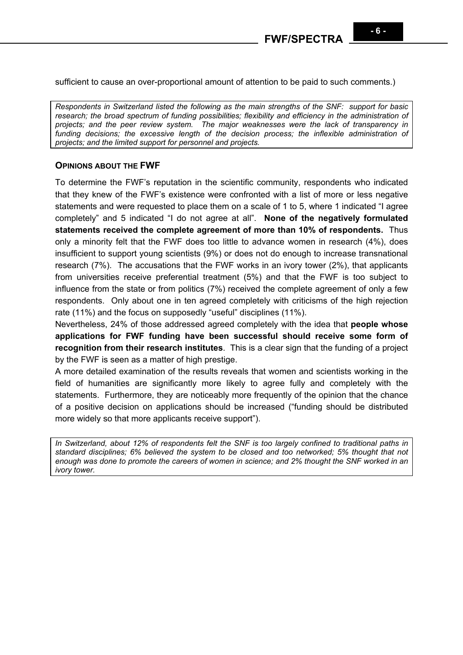sufficient to cause an over-proportional amount of attention to be paid to such comments.)

*Respondents in Switzerland listed the following as the main strengths of the SNF: support for basic research; the broad spectrum of funding possibilities; flexibility and efficiency in the administration of projects; and the peer review system. The major weaknesses were the lack of transparency in funding decisions; the excessive length of the decision process; the inflexible administration of projects; and the limited support for personnel and projects.* 

### **OPINIONS ABOUT THE FWF**

To determine the FWF's reputation in the scientific community, respondents who indicated that they knew of the FWF's existence were confronted with a list of more or less negative statements and were requested to place them on a scale of 1 to 5, where 1 indicated "I agree completely" and 5 indicated "I do not agree at all". **None of the negatively formulated statements received the complete agreement of more than 10% of respondents.** Thus only a minority felt that the FWF does too little to advance women in research (4%), does insufficient to support young scientists (9%) or does not do enough to increase transnational research (7%). The accusations that the FWF works in an ivory tower (2%), that applicants from universities receive preferential treatment (5%) and that the FWF is too subject to influence from the state or from politics (7%) received the complete agreement of only a few respondents. Only about one in ten agreed completely with criticisms of the high rejection rate (11%) and the focus on supposedly "useful" disciplines (11%).

Nevertheless, 24% of those addressed agreed completely with the idea that **people whose applications for FWF funding have been successful should receive some form of recognition from their research institutes**. This is a clear sign that the funding of a project by the FWF is seen as a matter of high prestige.

A more detailed examination of the results reveals that women and scientists working in the field of humanities are significantly more likely to agree fully and completely with the statements. Furthermore, they are noticeably more frequently of the opinion that the chance of a positive decision on applications should be increased ("funding should be distributed more widely so that more applicants receive support").

*In Switzerland, about 12% of respondents felt the SNF is too largely confined to traditional paths in standard disciplines; 6% believed the system to be closed and too networked; 5% thought that not enough was done to promote the careers of women in science; and 2% thought the SNF worked in an ivory tower.*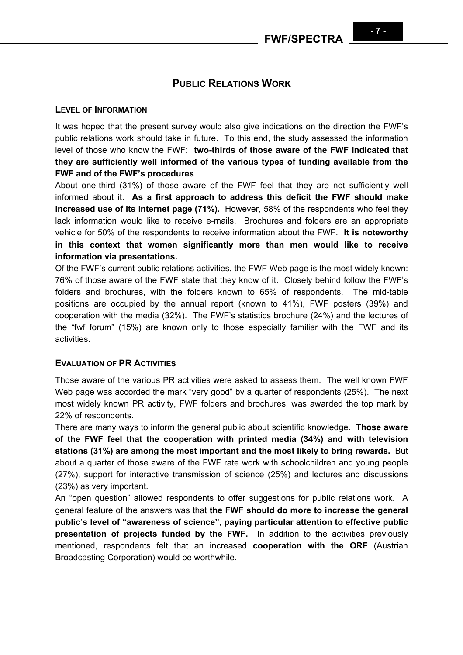#### **LEVEL OF INFORMATION**

It was hoped that the present survey would also give indications on the direction the FWF's public relations work should take in future. To this end, the study assessed the information level of those who know the FWF: **two-thirds of those aware of the FWF indicated that they are sufficiently well informed of the various types of funding available from the FWF and of the FWF's procedures**.

About one-third (31%) of those aware of the FWF feel that they are not sufficiently well informed about it. **As a first approach to address this deficit the FWF should make increased use of its internet page (71%).** However, 58% of the respondents who feel they lack information would like to receive e-mails. Brochures and folders are an appropriate vehicle for 50% of the respondents to receive information about the FWF. **It is noteworthy in this context that women significantly more than men would like to receive information via presentations.**

Of the FWF's current public relations activities, the FWF Web page is the most widely known: 76% of those aware of the FWF state that they know of it. Closely behind follow the FWF's folders and brochures, with the folders known to 65% of respondents. The mid-table positions are occupied by the annual report (known to 41%), FWF posters (39%) and cooperation with the media (32%). The FWF's statistics brochure (24%) and the lectures of the "fwf forum" (15%) are known only to those especially familiar with the FWF and its activities.

### **EVALUATION OF PR ACTIVITIES**

Those aware of the various PR activities were asked to assess them. The well known FWF Web page was accorded the mark "very good" by a quarter of respondents (25%). The next most widely known PR activity, FWF folders and brochures, was awarded the top mark by 22% of respondents.

There are many ways to inform the general public about scientific knowledge. **Those aware of the FWF feel that the cooperation with printed media (34%) and with television stations (31%) are among the most important and the most likely to bring rewards.** But about a quarter of those aware of the FWF rate work with schoolchildren and young people (27%), support for interactive transmission of science (25%) and lectures and discussions (23%) as very important.

An "open question" allowed respondents to offer suggestions for public relations work. A general feature of the answers was that **the FWF should do more to increase the general public's level of "awareness of science", paying particular attention to effective public presentation of projects funded by the FWF.** In addition to the activities previously mentioned, respondents felt that an increased **cooperation with the ORF** (Austrian Broadcasting Corporation) would be worthwhile.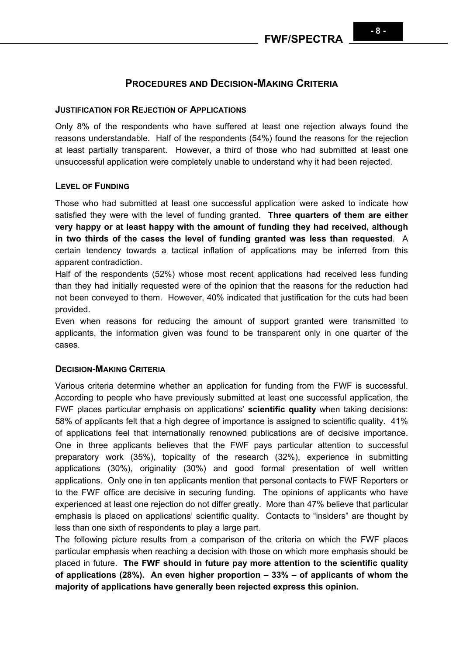# **PROCEDURES AND DECISION-MAKING CRITERIA**

#### **JUSTIFICATION FOR REJECTION OF APPLICATIONS**

Only 8% of the respondents who have suffered at least one rejection always found the reasons understandable. Half of the respondents (54%) found the reasons for the rejection at least partially transparent. However, a third of those who had submitted at least one unsuccessful application were completely unable to understand why it had been rejected.

### **LEVEL OF FUNDING**

Those who had submitted at least one successful application were asked to indicate how satisfied they were with the level of funding granted. **Three quarters of them are either very happy or at least happy with the amount of funding they had received, although in two thirds of the cases the level of funding granted was less than requested**. A certain tendency towards a tactical inflation of applications may be inferred from this apparent contradiction.

Half of the respondents (52%) whose most recent applications had received less funding than they had initially requested were of the opinion that the reasons for the reduction had not been conveyed to them. However, 40% indicated that justification for the cuts had been provided.

Even when reasons for reducing the amount of support granted were transmitted to applicants, the information given was found to be transparent only in one quarter of the cases.

#### **DECISION-MAKING CRITERIA**

Various criteria determine whether an application for funding from the FWF is successful. According to people who have previously submitted at least one successful application, the FWF places particular emphasis on applications' **scientific quality** when taking decisions: 58% of applicants felt that a high degree of importance is assigned to scientific quality. 41% of applications feel that internationally renowned publications are of decisive importance. One in three applicants believes that the FWF pays particular attention to successful preparatory work (35%), topicality of the research (32%), experience in submitting applications (30%), originality (30%) and good formal presentation of well written applications. Only one in ten applicants mention that personal contacts to FWF Reporters or to the FWF office are decisive in securing funding. The opinions of applicants who have experienced at least one rejection do not differ greatly. More than 47% believe that particular emphasis is placed on applications' scientific quality. Contacts to "insiders" are thought by less than one sixth of respondents to play a large part.

The following picture results from a comparison of the criteria on which the FWF places particular emphasis when reaching a decision with those on which more emphasis should be placed in future. **The FWF should in future pay more attention to the scientific quality of applications (28%). An even higher proportion – 33% – of applicants of whom the majority of applications have generally been rejected express this opinion.**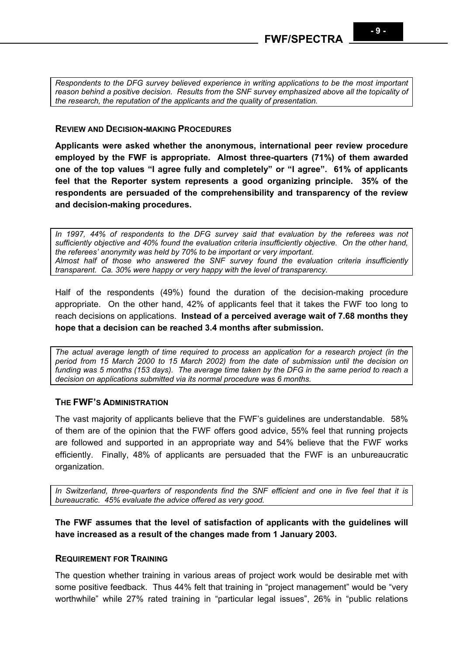*Respondents to the DFG survey believed experience in writing applications to be the most important reason behind a positive decision. Results from the SNF survey emphasized above all the topicality of the research, the reputation of the applicants and the quality of presentation.* 

#### **REVIEW AND DECISION-MAKING PROCEDURES**

**Applicants were asked whether the anonymous, international peer review procedure employed by the FWF is appropriate. Almost three-quarters (71%) of them awarded one of the top values "I agree fully and completely" or "I agree". 61% of applicants feel that the Reporter system represents a good organizing principle. 35% of the respondents are persuaded of the comprehensibility and transparency of the review and decision-making procedures.** 

*In 1997, 44% of respondents to the DFG survey said that evaluation by the referees was not sufficiently objective and 40% found the evaluation criteria insufficiently objective. On the other hand, the referees' anonymity was held by 70% to be important or very important. Almost half of those who answered the SNF survey found the evaluation criteria insufficiently transparent. Ca. 30% were happy or very happy with the level of transparency.*

Half of the respondents (49%) found the duration of the decision-making procedure appropriate. On the other hand, 42% of applicants feel that it takes the FWF too long to reach decisions on applications. **Instead of a perceived average wait of 7.68 months they hope that a decision can be reached 3.4 months after submission.**

*The actual average length of time required to process an application for a research project (in the period from 15 March 2000 to 15 March 2002) from the date of submission until the decision on funding was 5 months (153 days). The average time taken by the DFG in the same period to reach a decision on applications submitted via its normal procedure was 6 months.* 

# **THE FWF'S ADMINISTRATION**

The vast majority of applicants believe that the FWF's guidelines are understandable. 58% of them are of the opinion that the FWF offers good advice, 55% feel that running projects are followed and supported in an appropriate way and 54% believe that the FWF works efficiently. Finally, 48% of applicants are persuaded that the FWF is an unbureaucratic organization.

*In Switzerland, three-quarters of respondents find the SNF efficient and one in five feel that it is bureaucratic. 45% evaluate the advice offered as very good.* 

# **The FWF assumes that the level of satisfaction of applicants with the guidelines will have increased as a result of the changes made from 1 January 2003.**

# **REQUIREMENT FOR TRAINING**

The question whether training in various areas of project work would be desirable met with some positive feedback. Thus 44% felt that training in "project management" would be "very worthwhile" while 27% rated training in "particular legal issues", 26% in "public relations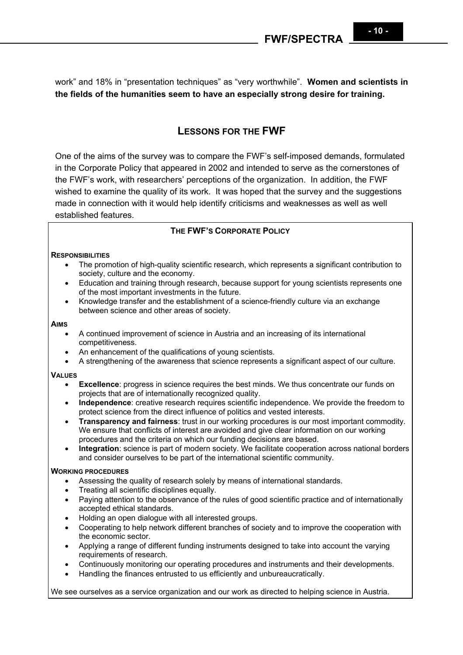work" and 18% in "presentation techniques" as "very worthwhile". **Women and scientists in the fields of the humanities seem to have an especially strong desire for training.**

# **LESSONS FOR THE FWF**

One of the aims of the survey was to compare the FWF's self-imposed demands, formulated in the Corporate Policy that appeared in 2002 and intended to serve as the cornerstones of the FWF's work, with researchers' perceptions of the organization. In addition, the FWF wished to examine the quality of its work. It was hoped that the survey and the suggestions made in connection with it would help identify criticisms and weaknesses as well as well established features.

### **THE FWF'S CORPORATE POLICY**

#### **RESPONSIBILITIES**

- The promotion of high-quality scientific research, which represents a significant contribution to society, culture and the economy.
- Education and training through research, because support for young scientists represents one of the most important investments in the future.
- Knowledge transfer and the establishment of a science-friendly culture via an exchange between science and other areas of society.

#### **AIMS**

- A continued improvement of science in Austria and an increasing of its international competitiveness.
- An enhancement of the qualifications of young scientists.
- A strengthening of the awareness that science represents a significant aspect of our culture.

#### **VALUES**

- **Excellence**: progress in science requires the best minds. We thus concentrate our funds on projects that are of internationally recognized quality.
- **Independence**: creative research requires scientific independence. We provide the freedom to protect science from the direct influence of politics and vested interests.
- **Transparency and fairness**: trust in our working procedures is our most important commodity. We ensure that conflicts of interest are avoided and give clear information on our working procedures and the criteria on which our funding decisions are based.
- **Integration**: science is part of modern society. We facilitate cooperation across national borders and consider ourselves to be part of the international scientific community.

#### **WORKING PROCEDURES**

- Assessing the quality of research solely by means of international standards.
- Treating all scientific disciplines equally.
- Paying attention to the observance of the rules of good scientific practice and of internationally accepted ethical standards.
- Holding an open dialogue with all interested groups.
- Cooperating to help network different branches of society and to improve the cooperation with the economic sector.
- Applying a range of different funding instruments designed to take into account the varying requirements of research.
- Continuously monitoring our operating procedures and instruments and their developments.
- Handling the finances entrusted to us efficiently and unbureaucratically.

We see ourselves as a service organization and our work as directed to helping science in Austria.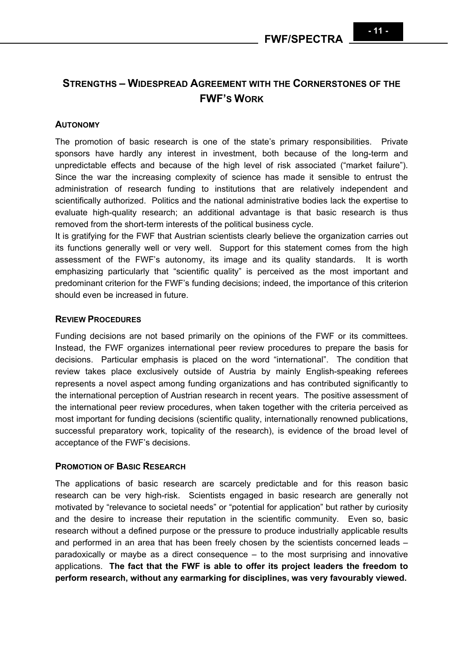# **STRENGTHS – WIDESPREAD AGREEMENT WITH THE CORNERSTONES OF THE FWF'S WORK**

# **AUTONOMY**

The promotion of basic research is one of the state's primary responsibilities. Private sponsors have hardly any interest in investment, both because of the long-term and unpredictable effects and because of the high level of risk associated ("market failure"). Since the war the increasing complexity of science has made it sensible to entrust the administration of research funding to institutions that are relatively independent and scientifically authorized. Politics and the national administrative bodies lack the expertise to evaluate high-quality research; an additional advantage is that basic research is thus removed from the short-term interests of the political business cycle.

It is gratifying for the FWF that Austrian scientists clearly believe the organization carries out its functions generally well or very well. Support for this statement comes from the high assessment of the FWF's autonomy, its image and its quality standards. It is worth emphasizing particularly that "scientific quality" is perceived as the most important and predominant criterion for the FWF's funding decisions; indeed, the importance of this criterion should even be increased in future.

### **REVIEW PROCEDURES**

Funding decisions are not based primarily on the opinions of the FWF or its committees. Instead, the FWF organizes international peer review procedures to prepare the basis for decisions. Particular emphasis is placed on the word "international". The condition that review takes place exclusively outside of Austria by mainly English-speaking referees represents a novel aspect among funding organizations and has contributed significantly to the international perception of Austrian research in recent years. The positive assessment of the international peer review procedures, when taken together with the criteria perceived as most important for funding decisions (scientific quality, internationally renowned publications, successful preparatory work, topicality of the research), is evidence of the broad level of acceptance of the FWF's decisions.

# **PROMOTION OF BASIC RESEARCH**

The applications of basic research are scarcely predictable and for this reason basic research can be very high-risk. Scientists engaged in basic research are generally not motivated by "relevance to societal needs" or "potential for application" but rather by curiosity and the desire to increase their reputation in the scientific community. Even so, basic research without a defined purpose or the pressure to produce industrially applicable results and performed in an area that has been freely chosen by the scientists concerned leads – paradoxically or maybe as a direct consequence – to the most surprising and innovative applications. **The fact that the FWF is able to offer its project leaders the freedom to perform research, without any earmarking for disciplines, was very favourably viewed.**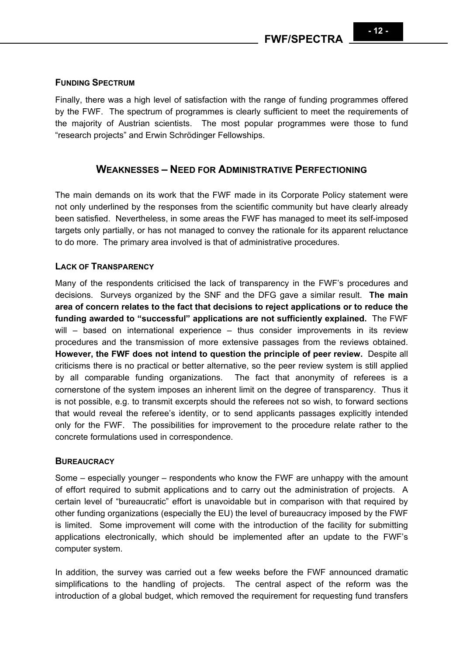# **FUNDING SPECTRUM**

Finally, there was a high level of satisfaction with the range of funding programmes offered by the FWF. The spectrum of programmes is clearly sufficient to meet the requirements of the majority of Austrian scientists. The most popular programmes were those to fund "research projects" and Erwin Schrödinger Fellowships.

# **WEAKNESSES – NEED FOR ADMINISTRATIVE PERFECTIONING**

The main demands on its work that the FWF made in its Corporate Policy statement were not only underlined by the responses from the scientific community but have clearly already been satisfied. Nevertheless, in some areas the FWF has managed to meet its self-imposed targets only partially, or has not managed to convey the rationale for its apparent reluctance to do more. The primary area involved is that of administrative procedures.

# **LACK OF TRANSPARENCY**

Many of the respondents criticised the lack of transparency in the FWF's procedures and decisions. Surveys organized by the SNF and the DFG gave a similar result. **The main area of concern relates to the fact that decisions to reject applications or to reduce the funding awarded to "successful" applications are not sufficiently explained.** The FWF will – based on international experience – thus consider improvements in its review procedures and the transmission of more extensive passages from the reviews obtained. **However, the FWF does not intend to question the principle of peer review.** Despite all criticisms there is no practical or better alternative, so the peer review system is still applied by all comparable funding organizations. The fact that anonymity of referees is a cornerstone of the system imposes an inherent limit on the degree of transparency. Thus it is not possible, e.g. to transmit excerpts should the referees not so wish, to forward sections that would reveal the referee's identity, or to send applicants passages explicitly intended only for the FWF. The possibilities for improvement to the procedure relate rather to the concrete formulations used in correspondence.

#### **BUREAUCRACY**

Some – especially younger – respondents who know the FWF are unhappy with the amount of effort required to submit applications and to carry out the administration of projects. A certain level of "bureaucratic" effort is unavoidable but in comparison with that required by other funding organizations (especially the EU) the level of bureaucracy imposed by the FWF is limited. Some improvement will come with the introduction of the facility for submitting applications electronically, which should be implemented after an update to the FWF's computer system.

In addition, the survey was carried out a few weeks before the FWF announced dramatic simplifications to the handling of projects. The central aspect of the reform was the introduction of a global budget, which removed the requirement for requesting fund transfers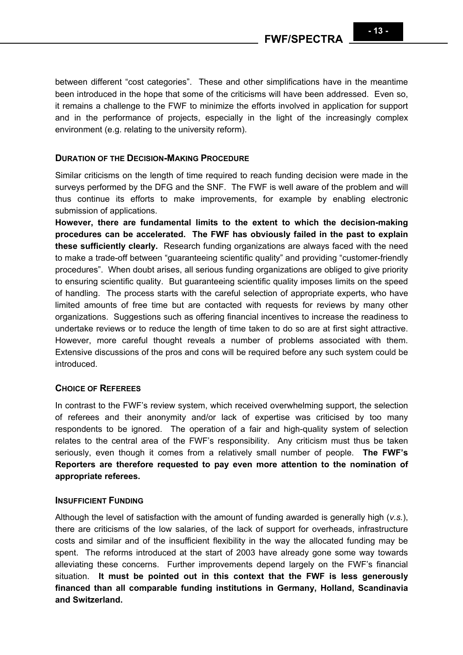**FWF/SPECTRA** 

between different "cost categories". These and other simplifications have in the meantime been introduced in the hope that some of the criticisms will have been addressed. Even so, it remains a challenge to the FWF to minimize the efforts involved in application for support and in the performance of projects, especially in the light of the increasingly complex environment (e.g. relating to the university reform).

### **DURATION OF THE DECISION-MAKING PROCEDURE**

Similar criticisms on the length of time required to reach funding decision were made in the surveys performed by the DFG and the SNF. The FWF is well aware of the problem and will thus continue its efforts to make improvements, for example by enabling electronic submission of applications.

**However, there are fundamental limits to the extent to which the decision-making procedures can be accelerated. The FWF has obviously failed in the past to explain these sufficiently clearly.** Research funding organizations are always faced with the need to make a trade-off between "guaranteeing scientific quality" and providing "customer-friendly procedures". When doubt arises, all serious funding organizations are obliged to give priority to ensuring scientific quality. But guaranteeing scientific quality imposes limits on the speed of handling. The process starts with the careful selection of appropriate experts, who have limited amounts of free time but are contacted with requests for reviews by many other organizations. Suggestions such as offering financial incentives to increase the readiness to undertake reviews or to reduce the length of time taken to do so are at first sight attractive. However, more careful thought reveals a number of problems associated with them. Extensive discussions of the pros and cons will be required before any such system could be introduced.

# **CHOICE OF REFEREES**

In contrast to the FWF's review system, which received overwhelming support, the selection of referees and their anonymity and/or lack of expertise was criticised by too many respondents to be ignored. The operation of a fair and high-quality system of selection relates to the central area of the FWF's responsibility. Any criticism must thus be taken seriously, even though it comes from a relatively small number of people. **The FWF's Reporters are therefore requested to pay even more attention to the nomination of appropriate referees.**

#### **INSUFFICIENT FUNDING**

Although the level of satisfaction with the amount of funding awarded is generally high (*v.s.*), there are criticisms of the low salaries, of the lack of support for overheads, infrastructure costs and similar and of the insufficient flexibility in the way the allocated funding may be spent. The reforms introduced at the start of 2003 have already gone some way towards alleviating these concerns. Further improvements depend largely on the FWF's financial situation. **It must be pointed out in this context that the FWF is less generously financed than all comparable funding institutions in Germany, Holland, Scandinavia and Switzerland.**